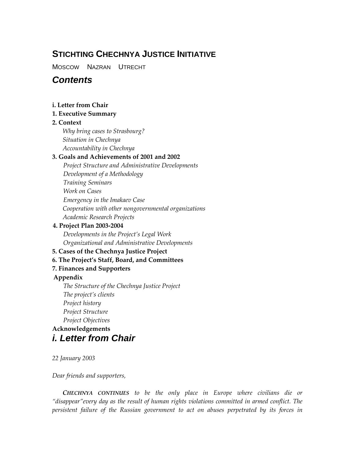# **STICHTING CHECHNYA JUSTICE INITIATIVE**

MOSCOW NAZRAN UTRECHT

# *Contents*

### **i. Letter from Chair**

### **1. Executive Summary**

### **2. Context**

*Why bring cases to Strasbourg? Situation in Chechnya Accountability in Chechnya* 

### **3. Goals and Achievements of 2001 and 2002**

*Project Structure and Administrative Developments Development of a Methodology Training Seminars Work on Cases Emergency in the Imakaev Case Cooperation with other nongovernmental organizations Academic Research Projects* 

### **4. Project Plan 2003-2004**

*Developments in the Project's Legal Work Organizational and Administrative Developments* 

## **5. Cases of the Chechnya Justice Project**

## **6. The Project's Staff, Board, and Committees**

## **7. Finances and Supporters**

### **Appendix**

*The Structure of the Chechnya Justice Project The project's clients Project history Project Structure Project Objectives* 

# **Acknowledgements**  *i. Letter from Chair*

*22 January 2003*

### *Dear friends and supporters,*

*CHECHNYA CONTINUES to be the only place in Europe where civilians die or "disappear"every day as the result of human rights violations committed in armed conflict. The persistent failure of the Russian government to act on abuses perpetrated by its forces in*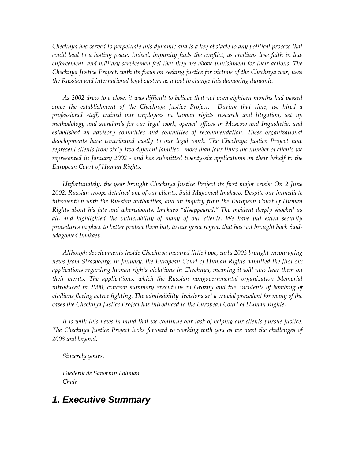*Chechnya has served to perpetuate this dynamic and is a key obstacle to any political process that could lead to a lasting peace. Indeed, impunity fuels the conflict, as civilians lose faith in law enforcement, and military servicemen feel that they are above punishment for their actions. The Chechnya Justice Project, with its focus on seeking justice for victims of the Chechnya war, uses the Russian and international legal system as a tool to change this damaging dynamic.*

*As 2002 drew to a close, it was difficult to believe that not even eighteen months had passed since the establishment of the Chechnya Justice Project. During that time, we hired a professional staff, trained our employees in human rights research and litigation, set up methodology and standards for our legal work, opened offices in Moscow and Ingushetia, and established an advisory committee and committee of recommendation. These organizational developments have contributed vastly to our legal work. The Chechnya Justice Project now represent clients from sixty-two different families - more than four times the number of clients we represented in January 2002 - and has submitted twenty-six applications on their behalf to the European Court of Human Rights.*

*Unfortunately, the year brought Chechnya Justice Project its first major crisis: On 2 June 2002, Russian troops detained one of our clients, Said-Magomed Imakaev. Despite our immediate intervention with the Russian authorities, and an inquiry from the European Court of Human Rights about his fate and whereabouts, Imakaev "disappeared." The incident deeply shocked us all, and highlighted the vulnerability of many of our clients. We have put extra security procedures in place to better protect them but, to our great regret, that has not brought back Said-Magomed Imakaev.*

*Although developments inside Chechnya inspired little hope, early 2003 brought encouraging news from Strasbourg: in January, the European Court of Human Rights admitted the first six applications regarding human rights violations in Chechnya, meaning it will now hear them on their merits. The applications, which the Russian nongovernmental organization Memorial introduced in 2000, concern summary executions in Grozny and two incidents of bombing of civilians fleeing active fighting. The admissibility decisions set a crucial precedent for many of the cases the Chechnya Justice Project has introduced to the European Court of Human Rights.*

*It is with this news in mind that we continue our task of helping our clients pursue justice. The Chechnya Justice Project looks forward to working with you as we meet the challenges of 2003 and beyond.* 

*Sincerely yours,*

*Diederik de Savornin Lohman Chair*

# *1. Executive Summary*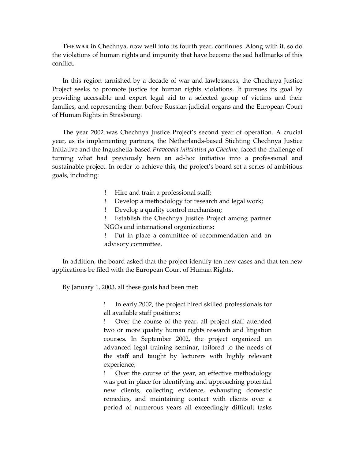**THE WAR** in Chechnya, now well into its fourth year, continues. Along with it, so do the violations of human rights and impunity that have become the sad hallmarks of this conflict.

In this region tarnished by a decade of war and lawlessness, the Chechnya Justice Project seeks to promote justice for human rights violations. It pursues its goal by providing accessible and expert legal aid to a selected group of victims and their families, and representing them before Russian judicial organs and the European Court of Human Rights in Strasbourg.

The year 2002 was Chechnya Justice Project's second year of operation. A crucial year, as its implementing partners, the Netherlands-based Stichting Chechnya Justice Initiative and the Ingushetia-based *Pravovaia initsiativa po Chechne,* faced the challenge of turning what had previously been an ad-hoc initiative into a professional and sustainable project. In order to achieve this, the project's board set a series of ambitious goals, including:

- Hire and train a professional staff;
- Develop a methodology for research and legal work;
- Develop a quality control mechanism;
- Establish the Chechnya Justice Project among partner NGOs and international organizations;
- Put in place a committee of recommendation and an advisory committee.

In addition, the board asked that the project identify ten new cases and that ten new applications be filed with the European Court of Human Rights.

By January 1, 2003, all these goals had been met:

 In early 2002, the project hired skilled professionals for all available staff positions;

 Over the course of the year, all project staff attended two or more quality human rights research and litigation courses. In September 2002, the project organized an advanced legal training seminar, tailored to the needs of the staff and taught by lecturers with highly relevant experience;

 Over the course of the year, an effective methodology was put in place for identifying and approaching potential new clients, collecting evidence, exhausting domestic remedies, and maintaining contact with clients over a period of numerous years all exceedingly difficult tasks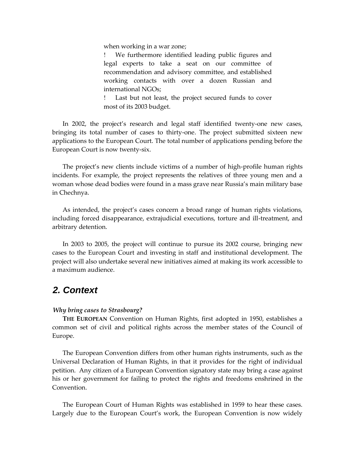when working in a war zone;

 We furthermore identified leading public figures and legal experts to take a seat on our committee of recommendation and advisory committee, and established working contacts with over a dozen Russian and international NGOs;

 Last but not least, the project secured funds to cover most of its 2003 budget.

In 2002, the project's research and legal staff identified twenty-one new cases, bringing its total number of cases to thirty-one. The project submitted sixteen new applications to the European Court. The total number of applications pending before the European Court is now twenty-six.

The project's new clients include victims of a number of high-profile human rights incidents. For example, the project represents the relatives of three young men and a woman whose dead bodies were found in a mass grave near Russia's main military base in Chechnya.

As intended, the project's cases concern a broad range of human rights violations, including forced disappearance, extrajudicial executions, torture and ill-treatment, and arbitrary detention.

In 2003 to 2005, the project will continue to pursue its 2002 course, bringing new cases to the European Court and investing in staff and institutional development. The project will also undertake several new initiatives aimed at making its work accessible to a maximum audience.

# *2. Context*

### *Why bring cases to Strasbourg?*

**THE EUROPEAN** Convention on Human Rights, first adopted in 1950, establishes a common set of civil and political rights across the member states of the Council of Europe.

The European Convention differs from other human rights instruments, such as the Universal Declaration of Human Rights, in that it provides for the right of individual petition. Any citizen of a European Convention signatory state may bring a case against his or her government for failing to protect the rights and freedoms enshrined in the **Convention** 

The European Court of Human Rights was established in 1959 to hear these cases. Largely due to the European Court's work, the European Convention is now widely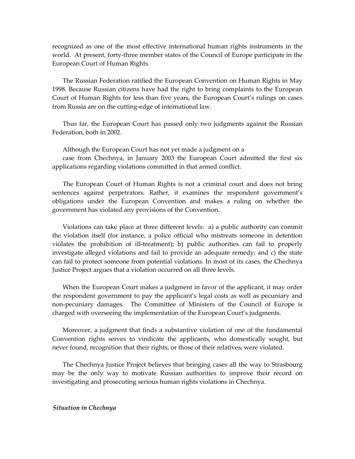recognized as one of the most effective international human rights instruments in the world. At present, forty-three member states of the Council of Europe participate in the European Court of Human Rights.

The Russian Federation ratified the European Convention on Human Rights in May 1998. Because Russian citizens have had the right to bring complaints to the European Court of Human Rights for less than five years, the European Court's rulings on cases from Russia are on the cutting-edge of international law.

Thus far, the European Court has passed only two judgments against the Russian Federation, both in 2002.

Although the European Court has not yet made a judgment on a case from Chechnya, in January 2003 the European Court admitted the first six applications regarding violations committed in that armed conflict.

The European Court of Human Rights is not a criminal court and does not bring sentences against perpetrators. Rather, it examines the respondent government's obligations under the European Convention and makes a ruling on whether the government has violated any provisions of the Convention.

Violations can take place at three different levels: a) a public authority can commit the violation itself (for instance, a police official who mistreats someone in detention violates the prohibition of ill-treatment); b) public authorities can fail to properly investigate alleged violations and fail to provide an adequate remedy; and c) the state can fail to protect someone from potential violations. In most of its cases, the Chechnya Justice Project argues that a violation occurred on all three levels.

When the European Court makes a judgment in favor of the applicant, it may order the respondent government to pay the applicant's legal costs as well as pecuniary and non-pecuniary damages. The Committee of Ministers of the Council of Europe is charged with overseeing the implementation of the European Court's judgments.

Moreover, a judgment that finds a substantive violation of one of the fundamental Convention rights serves to vindicate the applicants, who domestically sought, but never found, recognition that their rights, or those of their relatives, were violated.

The Chechnya Justice Project believes that bringing cases all the way to Strasbourg may be the only way to motivate Russian authorities to improve their record on investigating and prosecuting serious human rights violations in Chechnya.

#### *Situation in Chechnya*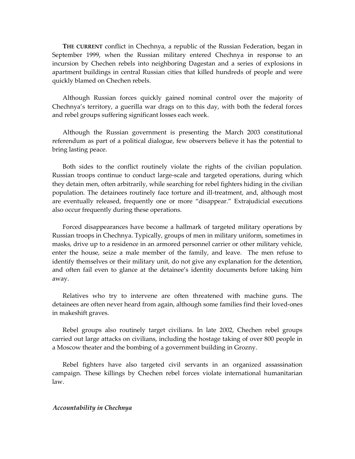**THE CURRENT** conflict in Chechnya, a republic of the Russian Federation, began in September 1999, when the Russian military entered Chechnya in response to an incursion by Chechen rebels into neighboring Dagestan and a series of explosions in apartment buildings in central Russian cities that killed hundreds of people and were quickly blamed on Chechen rebels.

Although Russian forces quickly gained nominal control over the majority of Chechnya's territory, a guerilla war drags on to this day, with both the federal forces and rebel groups suffering significant losses each week.

Although the Russian government is presenting the March 2003 constitutional referendum as part of a political dialogue, few observers believe it has the potential to bring lasting peace.

Both sides to the conflict routinely violate the rights of the civilian population. Russian troops continue to conduct large-scale and targeted operations, during which they detain men, often arbitrarily, while searching for rebel fighters hiding in the civilian population. The detainees routinely face torture and ill-treatment, and, although most are eventually released, frequently one or more "disappear." Extrajudicial executions also occur frequently during these operations.

Forced disappearances have become a hallmark of targeted military operations by Russian troops in Chechnya. Typically, groups of men in military uniform, sometimes in masks, drive up to a residence in an armored personnel carrier or other military vehicle, enter the house, seize a male member of the family, and leave. The men refuse to identify themselves or their military unit, do not give any explanation for the detention, and often fail even to glance at the detainee's identity documents before taking him away.

Relatives who try to intervene are often threatened with machine guns. The detainees are often never heard from again, although some families find their loved-ones in makeshift graves.

Rebel groups also routinely target civilians. In late 2002, Chechen rebel groups carried out large attacks on civilians, including the hostage taking of over 800 people in a Moscow theater and the bombing of a government building in Grozny.

Rebel fighters have also targeted civil servants in an organized assassination campaign. These killings by Chechen rebel forces violate international humanitarian law.

#### *Accountability in Chechnya*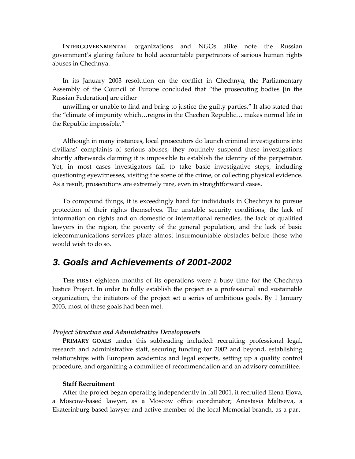**INTERGOVERNMENTAL** organizations and NGOs alike note the Russian government's glaring failure to hold accountable perpetrators of serious human rights abuses in Chechnya.

In its January 2003 resolution on the conflict in Chechnya, the Parliamentary Assembly of the Council of Europe concluded that "the prosecuting bodies [in the Russian Federation] are either

unwilling or unable to find and bring to justice the guilty parties." It also stated that the "climate of impunity which…reigns in the Chechen Republic… makes normal life in the Republic impossible."

Although in many instances, local prosecutors do launch criminal investigations into civilians' complaints of serious abuses, they routinely suspend these investigations shortly afterwards claiming it is impossible to establish the identity of the perpetrator. Yet, in most cases investigators fail to take basic investigative steps, including questioning eyewitnesses, visiting the scene of the crime, or collecting physical evidence. As a result, prosecutions are extremely rare, even in straightforward cases.

To compound things, it is exceedingly hard for individuals in Chechnya to pursue protection of their rights themselves. The unstable security conditions, the lack of information on rights and on domestic or international remedies, the lack of qualified lawyers in the region, the poverty of the general population, and the lack of basic telecommunications services place almost insurmountable obstacles before those who would wish to do so.

# *3. Goals and Achievements of 2001-2002*

**THE FIRST** eighteen months of its operations were a busy time for the Chechnya Justice Project. In order to fully establish the project as a professional and sustainable organization, the initiators of the project set a series of ambitious goals. By 1 January 2003, most of these goals had been met.

#### *Project Structure and Administrative Developments*

**PRIMARY GOALS** under this subheading included: recruiting professional legal, research and administrative staff, securing funding for 2002 and beyond, establishing relationships with European academics and legal experts, setting up a quality control procedure, and organizing a committee of recommendation and an advisory committee.

#### **Staff Recruitment**

After the project began operating independently in fall 2001, it recruited Elena Ejova, a Moscow-based lawyer, as a Moscow office coordinator; Anastasia Maltseva, a Ekaterinburg-based lawyer and active member of the local Memorial branch, as a part-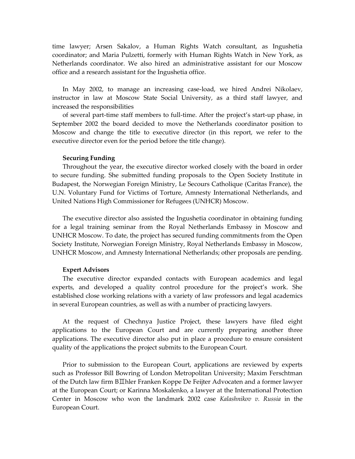time lawyer; Arsen Sakalov, a Human Rights Watch consultant, as Ingushetia coordinator; and Maria Pulzetti, formerly with Human Rights Watch in New York, as Netherlands coordinator. We also hired an administrative assistant for our Moscow office and a research assistant for the Ingushetia office.

In May 2002, to manage an increasing case-load, we hired Andrei Nikolaev, instructor in law at Moscow State Social University, as a third staff lawyer, and increased the responsibilities

of several part-time staff members to full-time. After the project's start-up phase, in September 2002 the board decided to move the Netherlands coordinator position to Moscow and change the title to executive director (in this report, we refer to the executive director even for the period before the title change).

#### **Securing Funding**

Throughout the year, the executive director worked closely with the board in order to secure funding. She submitted funding proposals to the Open Society Institute in Budapest, the Norwegian Foreign Ministry, Le Secours Catholique (Caritas France), the U.N. Voluntary Fund for Victims of Torture, Amnesty International Netherlands, and United Nations High Commissioner for Refugees (UNHCR) Moscow.

The executive director also assisted the Ingushetia coordinator in obtaining funding for a legal training seminar from the Royal Netherlands Embassy in Moscow and UNHCR Moscow. To date, the project has secured funding commitments from the Open Society Institute, Norwegian Foreign Ministry, Royal Netherlands Embassy in Moscow, UNHCR Moscow, and Amnesty International Netherlands; other proposals are pending.

#### **Expert Advisors**

The executive director expanded contacts with European academics and legal experts, and developed a quality control procedure for the project's work. She established close working relations with a variety of law professors and legal academics in several European countries, as well as with a number of practicing lawyers.

At the request of Chechnya Justice Project, these lawyers have filed eight applications to the European Court and are currently preparing another three applications. The executive director also put in place a procedure to ensure consistent quality of the applications the project submits to the European Court.

Prior to submission to the European Court, applications are reviewed by experts such as Professor Bill Bowring of London Metropolitan University; Maxim Ferschtman of the Dutch law firm BII hler Franken Koppe De Feijter Advocaten and a former lawyer at the European Court; or Karinna Moskalenko, a lawyer at the International Protection Center in Moscow who won the landmark 2002 case *Kalashnikov v. Russia* in the European Court.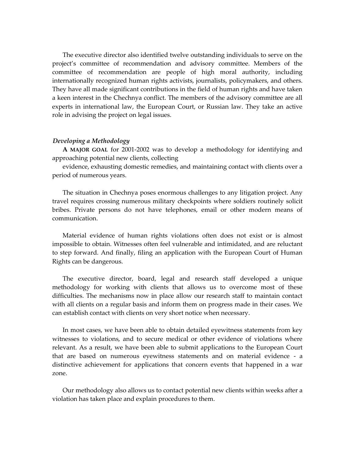The executive director also identified twelve outstanding individuals to serve on the project's committee of recommendation and advisory committee. Members of the committee of recommendation are people of high moral authority, including internationally recognized human rights activists, journalists, policymakers, and others. They have all made significant contributions in the field of human rights and have taken a keen interest in the Chechnya conflict. The members of the advisory committee are all experts in international law, the European Court, or Russian law. They take an active role in advising the project on legal issues.

#### *Developing a Methodology*

**A MAJOR GOAL** for 2001-2002 was to develop a methodology for identifying and approaching potential new clients, collecting

evidence, exhausting domestic remedies, and maintaining contact with clients over a period of numerous years.

The situation in Chechnya poses enormous challenges to any litigation project. Any travel requires crossing numerous military checkpoints where soldiers routinely solicit bribes. Private persons do not have telephones, email or other modern means of communication.

Material evidence of human rights violations often does not exist or is almost impossible to obtain. Witnesses often feel vulnerable and intimidated, and are reluctant to step forward. And finally, filing an application with the European Court of Human Rights can be dangerous.

The executive director, board, legal and research staff developed a unique methodology for working with clients that allows us to overcome most of these difficulties. The mechanisms now in place allow our research staff to maintain contact with all clients on a regular basis and inform them on progress made in their cases. We can establish contact with clients on very short notice when necessary.

In most cases, we have been able to obtain detailed eyewitness statements from key witnesses to violations, and to secure medical or other evidence of violations where relevant. As a result, we have been able to submit applications to the European Court that are based on numerous eyewitness statements and on material evidence - a distinctive achievement for applications that concern events that happened in a war zone.

Our methodology also allows us to contact potential new clients within weeks after a violation has taken place and explain procedures to them.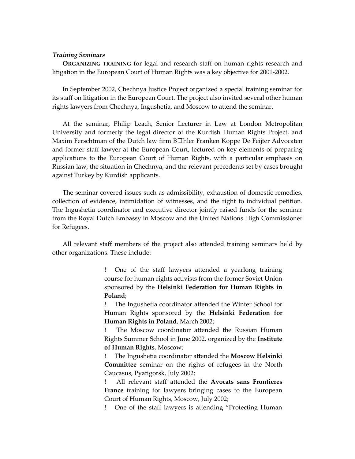#### *Training Seminars*

**ORGANIZING TRAINING** for legal and research staff on human rights research and litigation in the European Court of Human Rights was a key objective for 2001-2002.

In September 2002, Chechnya Justice Project organized a special training seminar for its staff on litigation in the European Court. The project also invited several other human rights lawyers from Chechnya, Ingushetia, and Moscow to attend the seminar.

At the seminar, Philip Leach, Senior Lecturer in Law at London Metropolitan University and formerly the legal director of the Kurdish Human Rights Project, and Maxim Ferschtman of the Dutch law firm B**IIhler Franken Koppe De Feijter Advocaten** and former staff lawyer at the European Court, lectured on key elements of preparing applications to the European Court of Human Rights, with a particular emphasis on Russian law, the situation in Chechnya, and the relevant precedents set by cases brought against Turkey by Kurdish applicants.

The seminar covered issues such as admissibility, exhaustion of domestic remedies, collection of evidence, intimidation of witnesses, and the right to individual petition. The Ingushetia coordinator and executive director jointly raised funds for the seminar from the Royal Dutch Embassy in Moscow and the United Nations High Commissioner for Refugees.

All relevant staff members of the project also attended training seminars held by other organizations. These include:

> One of the staff lawyers attended a yearlong training course for human rights activists from the former Soviet Union sponsored by the **Helsinki Federation for Human Rights in Poland**;

> The Ingushetia coordinator attended the Winter School for Human Rights sponsored by the **Helsinki Federation for Human Rights in Poland**, March 2002;

> The Moscow coordinator attended the Russian Human Rights Summer School in June 2002, organized by the **Institute of Human Rights**, Moscow;

> The Ingushetia coordinator attended the **Moscow Helsinki Committee** seminar on the rights of refugees in the North Caucasus, Pyatigorsk, July 2002;

> All relevant staff attended the **Avocats sans Frontieres France** training for lawyers bringing cases to the European Court of Human Rights, Moscow, July 2002;

> One of the staff lawyers is attending "Protecting Human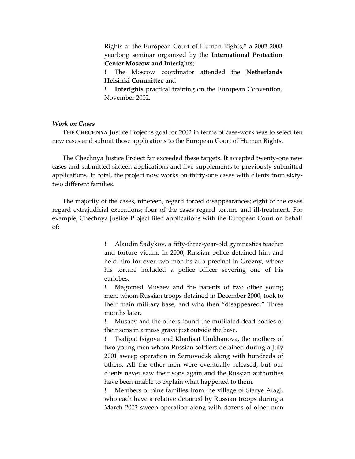Rights at the European Court of Human Rights," a 2002-2003 yearlong seminar organized by the **International Protection Center Moscow and Interights**;

 The Moscow coordinator attended the **Netherlands Helsinki Committee** and

 **Interights** practical training on the European Convention, November 2002.

#### *Work on Cases*

**THE CHECHNYA** Justice Project's goal for 2002 in terms of case-work was to select ten new cases and submit those applications to the European Court of Human Rights.

The Chechnya Justice Project far exceeded these targets. It accepted twenty-one new cases and submitted sixteen applications and five supplements to previously submitted applications. In total, the project now works on thirty-one cases with clients from sixtytwo different families.

The majority of the cases, nineteen, regard forced disappearances; eight of the cases regard extrajudicial executions; four of the cases regard torture and ill-treatment. For example, Chechnya Justice Project filed applications with the European Court on behalf of:

> Alaudin Sadykov, a fifty-three-year-old gymnastics teacher and torture victim. In 2000, Russian police detained him and held him for over two months at a precinct in Grozny, where his torture included a police officer severing one of his earlobes.

> Magomed Musaev and the parents of two other young men, whom Russian troops detained in December 2000, took to their main military base, and who then "disappeared." Three months later,

> Musaev and the others found the mutilated dead bodies of their sons in a mass grave just outside the base.

> Tsalipat Isigova and Khadisat Umkhanova, the mothers of two young men whom Russian soldiers detained during a July 2001 sweep operation in Sernovodsk along with hundreds of others. All the other men were eventually released, but our clients never saw their sons again and the Russian authorities have been unable to explain what happened to them.

> Members of nine families from the village of Starye Atagi, who each have a relative detained by Russian troops during a March 2002 sweep operation along with dozens of other men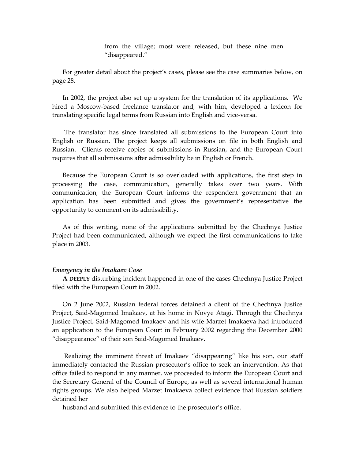from the village; most were released, but these nine men "disappeared."

For greater detail about the project's cases, please see the case summaries below, on page 28.

In 2002, the project also set up a system for the translation of its applications. We hired a Moscow-based freelance translator and, with him, developed a lexicon for translating specific legal terms from Russian into English and vice-versa.

The translator has since translated all submissions to the European Court into English or Russian. The project keeps all submissions on file in both English and Russian. Clients receive copies of submissions in Russian, and the European Court requires that all submissions after admissibility be in English or French.

Because the European Court is so overloaded with applications, the first step in processing the case, communication, generally takes over two years. With communication, the European Court informs the respondent government that an application has been submitted and gives the government's representative the opportunity to comment on its admissibility.

As of this writing, none of the applications submitted by the Chechnya Justice Project had been communicated, although we expect the first communications to take place in 2003.

#### *Emergency in the Imakaev Case*

**A DEEPLY** disturbing incident happened in one of the cases Chechnya Justice Project filed with the European Court in 2002.

On 2 June 2002, Russian federal forces detained a client of the Chechnya Justice Project, Said-Magomed Imakaev, at his home in Novye Atagi. Through the Chechnya Justice Project, Said-Magomed Imakaev and his wife Marzet Imakaeva had introduced an application to the European Court in February 2002 regarding the December 2000 "disappearance" of their son Said-Magomed Imakaev.

Realizing the imminent threat of Imakaev "disappearing" like his son, our staff immediately contacted the Russian prosecutor's office to seek an intervention. As that office failed to respond in any manner, we proceeded to inform the European Court and the Secretary General of the Council of Europe, as well as several international human rights groups. We also helped Marzet Imakaeva collect evidence that Russian soldiers detained her

husband and submitted this evidence to the prosecutor's office.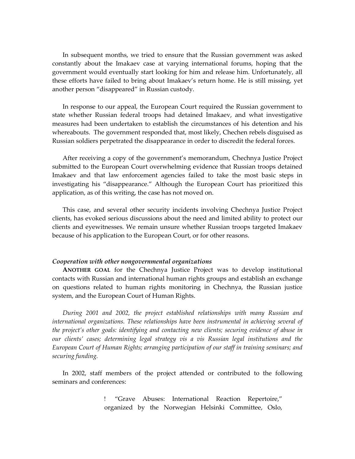In subsequent months, we tried to ensure that the Russian government was asked constantly about the Imakaev case at varying international forums, hoping that the government would eventually start looking for him and release him. Unfortunately, all these efforts have failed to bring about Imakaev's return home. He is still missing, yet another person "disappeared" in Russian custody.

In response to our appeal, the European Court required the Russian government to state whether Russian federal troops had detained Imakaev, and what investigative measures had been undertaken to establish the circumstances of his detention and his whereabouts. The government responded that, most likely, Chechen rebels disguised as Russian soldiers perpetrated the disappearance in order to discredit the federal forces.

After receiving a copy of the government's memorandum, Chechnya Justice Project submitted to the European Court overwhelming evidence that Russian troops detained Imakaev and that law enforcement agencies failed to take the most basic steps in investigating his "disappearance." Although the European Court has prioritized this application, as of this writing, the case has not moved on.

This case, and several other security incidents involving Chechnya Justice Project clients, has evoked serious discussions about the need and limited ability to protect our clients and eyewitnesses. We remain unsure whether Russian troops targeted Imakaev because of his application to the European Court, or for other reasons.

#### *Cooperation with other nongovernmental organizations*

**ANOTHER GOAL** for the Chechnya Justice Project was to develop institutional contacts with Russian and international human rights groups and establish an exchange on questions related to human rights monitoring in Chechnya, the Russian justice system, and the European Court of Human Rights.

*During 2001 and 2002, the project established relationships with many Russian and international organizations. These relationships have been instrumental in achieving several of the project's other goals: identifying and contacting new clients; securing evidence of abuse in our clients' cases; determining legal strategy vis a vis Russian legal institutions and the European Court of Human Rights; arranging participation of our staff in training seminars; and securing funding.*

In 2002, staff members of the project attended or contributed to the following seminars and conferences:

> "Grave Abuses: International Reaction Repertoire," organized by the Norwegian Helsinki Committee, Oslo,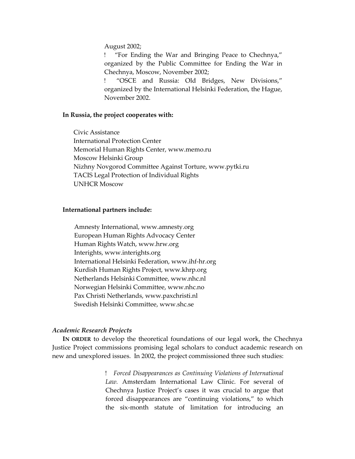August 2002;

 "For Ending the War and Bringing Peace to Chechnya," organized by the Public Committee for Ending the War in Chechnya, Moscow, November 2002;

 "OSCE and Russia: Old Bridges, New Divisions," organized by the International Helsinki Federation, the Hague, November 2002.

#### **In Russia, the project cooperates with:**

Civic Assistance International Protection Center Memorial Human Rights Center, www.memo.ru Moscow Helsinki Group Nizhny Novgorod Committee Against Torture, www.pytki.ru TACIS Legal Protection of Individual Rights UNHCR Moscow

#### **International partners include:**

Amnesty International, www.amnesty.org European Human Rights Advocacy Center Human Rights Watch, www.hrw.org Interights, www.interights.org International Helsinki Federation, www.ihf-hr.org Kurdish Human Rights Project, www.khrp.org Netherlands Helsinki Committee, www.nhc.nl Norwegian Helsinki Committee, www.nhc.no Pax Christi Netherlands, www.paxchristi.nl Swedish Helsinki Committee, www.shc.se

#### *Academic Research Projects*

**IN ORDER** to develop the theoretical foundations of our legal work, the Chechnya Justice Project commissions promising legal scholars to conduct academic research on new and unexplored issues. In 2002, the project commissioned three such studies:

> *Forced Disappearances as Continuing Violations of International Law.* Amsterdam International Law Clinic. For several of Chechnya Justice Project's cases it was crucial to argue that forced disappearances are "continuing violations," to which the six-month statute of limitation for introducing an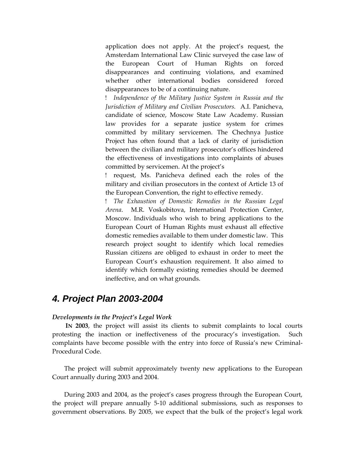application does not apply. At the project's request, the Amsterdam International Law Clinic surveyed the case law of the European Court of Human Rights on forced disappearances and continuing violations, and examined whether other international bodies considered forced disappearances to be of a continuing nature.

 *Independence of the Military Justice System in Russia and the Jurisdiction of Military and Civilian Prosecutors.* A.I. Panicheva, candidate of science, Moscow State Law Academy. Russian law provides for a separate justice system for crimes committed by military servicemen. The Chechnya Justice Project has often found that a lack of clarity of jurisdiction between the civilian and military prosecutor's offices hindered the effectiveness of investigations into complaints of abuses committed by servicemen. At the project's

 request, Ms. Panicheva defined each the roles of the military and civilian prosecutors in the context of Article 13 of the European Convention, the right to effective remedy.

 *The Exhaustion of Domestic Remedies in the Russian Legal Arena*. M.R. Voskobitova, International Protection Center, Moscow. Individuals who wish to bring applications to the European Court of Human Rights must exhaust all effective domestic remedies available to them under domestic law. This research project sought to identify which local remedies Russian citizens are obliged to exhaust in order to meet the European Court's exhaustion requirement. It also aimed to identify which formally existing remedies should be deemed ineffective, and on what grounds.

# *4. Project Plan 2003-2004*

### *Developments in the Project's Legal Work*

**IN 2003**, the project will assist its clients to submit complaints to local courts protesting the inaction or ineffectiveness of the procuracy's investigation. Such complaints have become possible with the entry into force of Russia's new Criminal-Procedural Code.

The project will submit approximately twenty new applications to the European Court annually during 2003 and 2004.

During 2003 and 2004, as the project's cases progress through the European Court, the project will prepare annually 5-10 additional submissions, such as responses to government observations. By 2005, we expect that the bulk of the project's legal work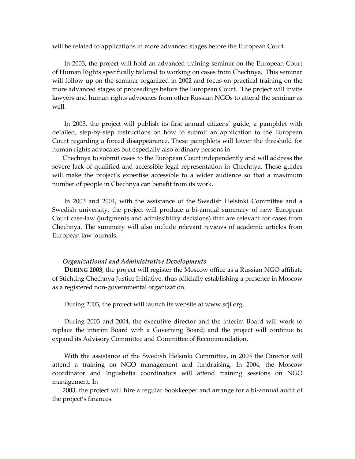will be related to applications in more advanced stages before the European Court.

In 2003, the project will hold an advanced training seminar on the European Court of Human Rights specifically tailored to working on cases from Chechnya. This seminar will follow up on the seminar organized in 2002 and focus on practical training on the more advanced stages of proceedings before the European Court. The project will invite lawyers and human rights advocates from other Russian NGOs to attend the seminar as well.

In 2003, the project will publish its first annual citizens' guide, a pamphlet with detailed, step-by-step instructions on how to submit an application to the European Court regarding a forced disappearance. These pamphlets will lower the threshold for human rights advocates but especially also ordinary persons in

Chechnya to submit cases to the European Court independently and will address the severe lack of qualified and accessible legal representation in Chechnya. These guides will make the project's expertise accessible to a wider audience so that a maximum number of people in Chechnya can benefit from its work.

In 2003 and 2004, with the assistance of the Swedish Helsinki Committee and a Swedish university, the project will produce a bi-annual summary of new European Court case-law (judgments and admissibility decisions) that are relevant for cases from Chechnya. The summary will also include relevant reviews of academic articles from European law journals.

#### *Organizational and Administrative Developments*

**DURING 2003**, the project will register the Moscow office as a Russian NGO affiliate of Stichting Chechnya Justice Initiative, thus officially establishing a presence in Moscow as a registered non-governmental organization.

During 2003, the project will launch its website at www.scji.org.

During 2003 and 2004, the executive director and the interim Board will work to replace the interim Board with a Governing Board; and the project will continue to expand its Advisory Committee and Committee of Recommendation.

With the assistance of the Swedish Helsinki Committee, in 2003 the Director will attend a training on NGO management and fundraising. In 2004, the Moscow coordinator and Ingushetia coordinators will attend training sessions on NGO management. In

2003, the project will hire a regular bookkeeper and arrange for a bi-annual audit of the project's finances.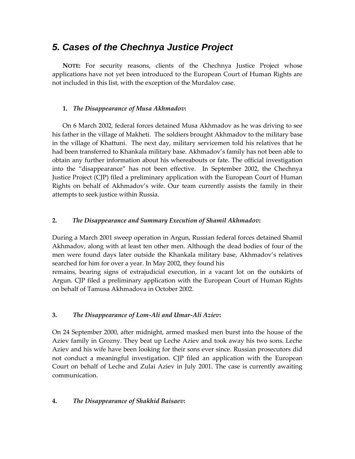# *5. Cases of the Chechnya Justice Project*

**NOTE:** For security reasons, clients of the Chechnya Justice Project whose applications have not yet been introduced to the European Court of Human Rights are not included in this list, with the exception of the Murdalov case.

## **1.** *The Disappearance of Musa Akhmadov***:**

On 6 March 2002, federal forces detained Musa Akhmadov as he was driving to see his father in the village of Makheti. The soldiers brought Akhmadov to the military base in the village of Khattuni. The next day, military servicemen told his relatives that he had been transferred to Khankala military base. Akhmadov's family has not been able to obtain any further information about his whereabouts or fate. The official investigation into the "disappearance" has not been effective. In September 2002, the Chechnya Justice Project (CJP) filed a preliminary application with the European Court of Human Rights on behalf of Akhmadov's wife. Our team currently assists the family in their attempts to seek justice within Russia.

# **2.** *The Disappearance and Summary Execution of Shamil Akhmadov***:**

During a March 2001 sweep operation in Argun, Russian federal forces detained Shamil Akhmadov, along with at least ten other men. Although the dead bodies of four of the men were found days later outside the Khankala military base, Akhmadov's relatives searched for him for over a year. In May 2002, they found his remains, bearing signs of extrajudicial execution, in a vacant lot on the outskirts of

Argun. CJP filed a preliminary application with the European Court of Human Rights on behalf of Tamusa Akhmadova in October 2002.

## **3.** *The Disappearance of Lom-Ali and Umar-Ali Aziev***:**

On 24 September 2000, after midnight, armed masked men burst into the house of the Aziev family in Grozny. They beat up Leche Aziev and took away his two sons. Leche Aziev and his wife have been looking for their sons ever since. Russian prosecutors did not conduct a meaningful investigation. CJP filed an application with the European Court on behalf of Leche and Zulai Aziev in July 2001. The case is currently awaiting communication.

## **4.** *The Disappearance of Shakhid Baisaev***:**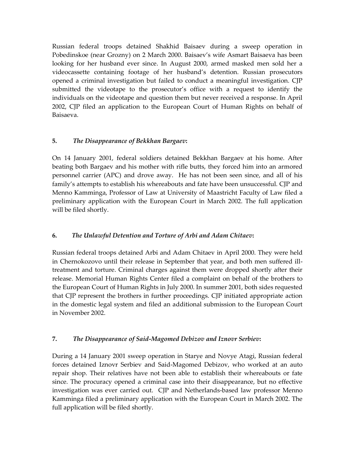Russian federal troops detained Shakhid Baisaev during a sweep operation in Pobedinskoe (near Grozny) on 2 March 2000. Baisaev's wife Asmart Baisaeva has been looking for her husband ever since. In August 2000, armed masked men sold her a videocassette containing footage of her husband's detention. Russian prosecutors opened a criminal investigation but failed to conduct a meaningful investigation. CJP submitted the videotape to the prosecutor's office with a request to identify the individuals on the videotape and question them but never received a response. In April 2002, CJP filed an application to the European Court of Human Rights on behalf of Baisaeva.

# **5.** *The Disappearance of Bekkhan Bargaev***:**

On 14 January 2001, federal soldiers detained Bekkhan Bargaev at his home. After beating both Bargaev and his mother with rifle butts, they forced him into an armored personnel carrier (APC) and drove away. He has not been seen since, and all of his family's attempts to establish his whereabouts and fate have been unsuccessful. CJP and Menno Kamminga, Professor of Law at University of Maastricht Faculty of Law filed a preliminary application with the European Court in March 2002. The full application will be filed shortly.

## **6.** *The Unlawful Detention and Torture of Arbi and Adam Chitaev***:**

Russian federal troops detained Arbi and Adam Chitaev in April 2000. They were held in Chernokozovo until their release in September that year, and both men suffered illtreatment and torture. Criminal charges against them were dropped shortly after their release. Memorial Human Rights Center filed a complaint on behalf of the brothers to the European Court of Human Rights in July 2000. In summer 2001, both sides requested that CJP represent the brothers in further proceedings. CJP initiated appropriate action in the domestic legal system and filed an additional submission to the European Court in November 2002.

## **7.** *The Disappearance of Said-Magomed Debizov and Iznovr Serbiev***:**

During a 14 January 2001 sweep operation in Starye and Novye Atagi, Russian federal forces detained Iznovr Serbiev and Said-Magomed Debizov, who worked at an auto repair shop. Their relatives have not been able to establish their whereabouts or fate since. The procuracy opened a criminal case into their disappearance, but no effective investigation was ever carried out. CJP and Netherlands-based law professor Menno Kamminga filed a preliminary application with the European Court in March 2002. The full application will be filed shortly.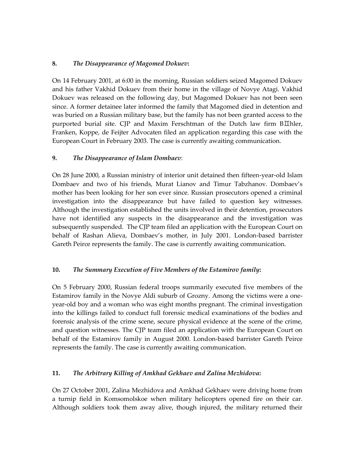## **8.** *The Disappearance of Magomed Dokuev***:**

On 14 February 2001, at 6:00 in the morning, Russian soldiers seized Magomed Dokuev and his father Vakhid Dokuev from their home in the village of Novye Atagi. Vakhid Dokuev was released on the following day, but Magomed Dokuev has not been seen since. A former detainee later informed the family that Magomed died in detention and was buried on a Russian military base, but the family has not been granted access to the purported burial site. CJP and Maxim Ferschtman of the Dutch law firm BIIhler, Franken, Koppe, de Feijter Advocaten filed an application regarding this case with the European Court in February 2003. The case is currently awaiting communication.

## **9.** *The Disappearance of Islam Dombaev*:

On 28 June 2000, a Russian ministry of interior unit detained then fifteen-year-old Islam Dombaev and two of his friends, Murat Lianov and Timur Tabzhanov. Dombaev's mother has been looking for her son ever since. Russian prosecutors opened a criminal investigation into the disappearance but have failed to question key witnesses. Although the investigation established the units involved in their detention, prosecutors have not identified any suspects in the disappearance and the investigation was subsequently suspended. The CJP team filed an application with the European Court on behalf of Rashan Alieva, Dombaev's mother, in July 2001. London-based barrister Gareth Peirce represents the family. The case is currently awaiting communication.

## **10.** *The Summary Execution of Five Members of the Estamirov family***:**

On 5 February 2000, Russian federal troops summarily executed five members of the Estamirov family in the Novye Aldi suburb of Grozny. Among the victims were a oneyear-old boy and a woman who was eight months pregnant. The criminal investigation into the killings failed to conduct full forensic medical examinations of the bodies and forensic analysis of the crime scene, secure physical evidence at the scene of the crime, and question witnesses. The CJP team filed an application with the European Court on behalf of the Estamirov family in August 2000. London-based barrister Gareth Peirce represents the family. The case is currently awaiting communication.

## **11.** *The Arbitrary Killing of Amkhad Gekhaev and Zalina Mezhidova***:**

On 27 October 2001, Zalina Mezhidova and Amkhad Gekhaev were driving home from a turnip field in Komsomolskoe when military helicopters opened fire on their car. Although soldiers took them away alive, though injured, the military returned their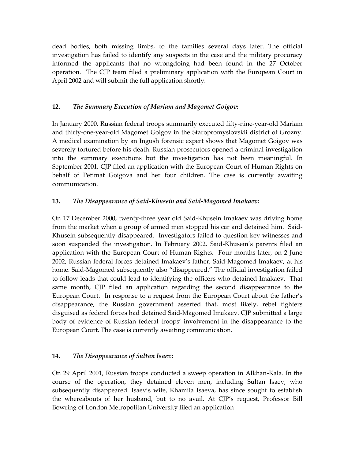dead bodies, both missing limbs, to the families several days later. The official investigation has failed to identify any suspects in the case and the military procuracy informed the applicants that no wrongdoing had been found in the 27 October operation. The CJP team filed a preliminary application with the European Court in April 2002 and will submit the full application shortly.

## **12.** *The Summary Execution of Mariam and Magomet Goigov***:**

In January 2000, Russian federal troops summarily executed fifty-nine-year-old Mariam and thirty-one-year-old Magomet Goigov in the Staropromyslovskii district of Grozny. A medical examination by an Ingush forensic expert shows that Magomet Goigov was severely tortured before his death. Russian prosecutors opened a criminal investigation into the summary executions but the investigation has not been meaningful. In September 2001, CJP filed an application with the European Court of Human Rights on behalf of Petimat Goigova and her four children. The case is currently awaiting communication.

# **13.** *The Disappearance of Said-Khusein and Said-Magomed Imakaev:*

On 17 December 2000, twenty-three year old Said-Khusein Imakaev was driving home from the market when a group of armed men stopped his car and detained him. Said-Khusein subsequently disappeared. Investigators failed to question key witnesses and soon suspended the investigation. In February 2002, Said-Khusein's parents filed an application with the European Court of Human Rights. Four months later, on 2 June 2002, Russian federal forces detained Imakaev's father, Said-Magomed Imakaev, at his home. Said-Magomed subsequently also "disappeared." The official investigation failed to follow leads that could lead to identifying the officers who detained Imakaev. That same month, CJP filed an application regarding the second disappearance to the European Court. In response to a request from the European Court about the father's disappearance, the Russian government asserted that, most likely, rebel fighters disguised as federal forces had detained Said-Magomed Imakaev. CJP submitted a large body of evidence of Russian federal troops' involvement in the disappearance to the European Court. The case is currently awaiting communication.

## **14.** *The Disappearance of Sultan Isaev***:**

On 29 April 2001, Russian troops conducted a sweep operation in Alkhan-Kala. In the course of the operation, they detained eleven men, including Sultan Isaev, who subsequently disappeared. Isaev's wife, Khamila Isaeva, has since sought to establish the whereabouts of her husband, but to no avail. At CJP's request, Professor Bill Bowring of London Metropolitan University filed an application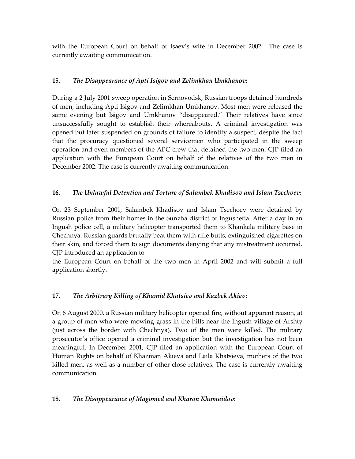with the European Court on behalf of Isaev's wife in December 2002. The case is currently awaiting communication.

# **15.** *The Disappearance of Apti Isigov and Zelimkhan Umkhanov***:**

During a 2 July 2001 sweep operation in Sernovodsk, Russian troops detained hundreds of men, including Apti Isigov and Zelimkhan Umkhanov. Most men were released the same evening but Isigov and Umkhanov "disappeared." Their relatives have since unsuccessfully sought to establish their whereabouts. A criminal investigation was opened but later suspended on grounds of failure to identify a suspect, despite the fact that the procuracy questioned several servicemen who participated in the sweep operation and even members of the APC crew that detained the two men. CJP filed an application with the European Court on behalf of the relatives of the two men in December 2002. The case is currently awaiting communication.

# **16.** *The Unlawful Detention and Torture of Salambek Khadisov and Islam Tsechoev***:**

On 23 September 2001, Salambek Khadisov and Islam Tsechoev were detained by Russian police from their homes in the Sunzha district of Ingushetia. After a day in an Ingush police cell, a military helicopter transported them to Khankala military base in Chechnya. Russian guards brutally beat them with rifle butts, extinguished cigarettes on their skin, and forced them to sign documents denying that any mistreatment occurred. CJP introduced an application to

the European Court on behalf of the two men in April 2002 and will submit a full application shortly.

# **17.** *The Arbitrary Killing of Khamid Khatsiev and Kazbek Akiev***:**

On 6 August 2000, a Russian military helicopter opened fire, without apparent reason, at a group of men who were mowing grass in the hills near the Ingush village of Arshty (just across the border with Chechnya). Two of the men were killed. The military prosecutor's office opened a criminal investigation but the investigation has not been meaningful. In December 2001, CJP filed an application with the European Court of Human Rights on behalf of Khazman Akieva and Laila Khatsieva, mothers of the two killed men, as well as a number of other close relatives. The case is currently awaiting communication.

## **18.** *The Disappearance of Magomed and Kharon Khumaidov***:**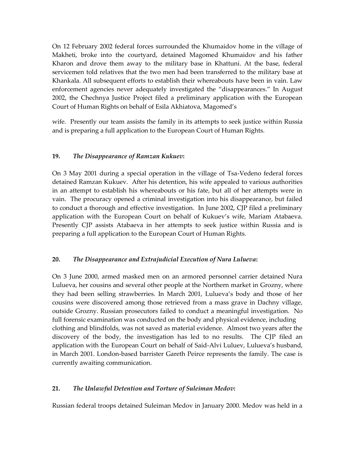On 12 February 2002 federal forces surrounded the Khumaidov home in the village of Makheti, broke into the courtyard, detained Magomed Khumaidov and his father Kharon and drove them away to the military base in Khattuni. At the base, federal servicemen told relatives that the two men had been transferred to the military base at Khankala. All subsequent efforts to establish their whereabouts have been in vain. Law enforcement agencies never adequately investigated the "disappearances." In August 2002, the Chechnya Justice Project filed a preliminary application with the European Court of Human Rights on behalf of Esila Akhiatova, Magomed's

wife. Presently our team assists the family in its attempts to seek justice within Russia and is preparing a full application to the European Court of Human Rights.

## **19.** *The Disappearance of Ramzan Kukuev***:**

On 3 May 2001 during a special operation in the village of Tsa-Vedeno federal forces detained Ramzan Kukuev. After his detention, his wife appealed to various authorities in an attempt to establish his whereabouts or his fate, but all of her attempts were in vain. The procuracy opened a criminal investigation into his disappearance, but failed to conduct a thorough and effective investigation. In June 2002, CJP filed a preliminary application with the European Court on behalf of Kukuev's wife, Mariam Atabaeva. Presently CJP assists Atabaeva in her attempts to seek justice within Russia and is preparing a full application to the European Court of Human Rights.

## **20.** *The Disappearance and Extrajudicial Execution of Nura Lulueva***:**

On 3 June 2000, armed masked men on an armored personnel carrier detained Nura Lulueva, her cousins and several other people at the Northern market in Grozny, where they had been selling strawberries. In March 2001, Lulueva's body and those of her cousins were discovered among those retrieved from a mass grave in Dachny village, outside Grozny. Russian prosecutors failed to conduct a meaningful investigation. No full forensic examination was conducted on the body and physical evidence, including clothing and blindfolds, was not saved as material evidence. Almost two years after the discovery of the body, the investigation has led to no results. The CJP filed an application with the European Court on behalf of Said-Alvi Luluev, Lulueva's husband, in March 2001. London-based barrister Gareth Peirce represents the family. The case is currently awaiting communication.

## **21.** *The Unlawful Detention and Torture of Suleiman Medov***:**

Russian federal troops detained Suleiman Medov in January 2000. Medov was held in a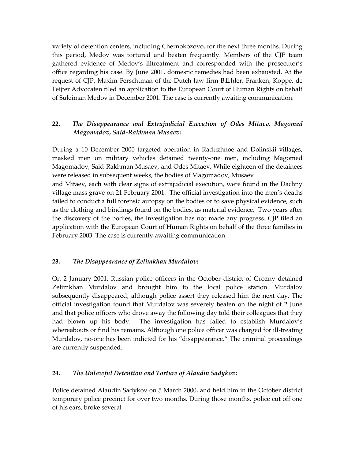variety of detention centers, including Chernokozovo, for the next three months. During this period, Medov was tortured and beaten frequently. Members of the CJP team gathered evidence of Medov's illtreatment and corresponded with the prosecutor's office regarding his case. By June 2001, domestic remedies had been exhausted. At the request of CJP, Maxim Ferschtman of the Dutch law firm  $B\overline{L}$ hler, Franken, Koppe, de Feijter Advocaten filed an application to the European Court of Human Rights on behalf of Suleiman Medov in December 2001. The case is currently awaiting communication.

# **22.** *The Disappearance and Extrajudicial Execution of Odes Mitaev, Magomed Magomadov, Said-Rakhman Musaev***:**

During a 10 December 2000 targeted operation in Raduzhnoe and Dolinskii villages, masked men on military vehicles detained twenty-one men, including Magomed Magomadov, Said-Rakhman Musaev, and Odes Mitaev. While eighteen of the detainees were released in subsequent weeks, the bodies of Magomadov, Musaev

and Mitaev, each with clear signs of extrajudicial execution, were found in the Dachny village mass grave on 21 February 2001. The official investigation into the men's deaths failed to conduct a full forensic autopsy on the bodies or to save physical evidence, such as the clothing and bindings found on the bodies, as material evidence. Two years after the discovery of the bodies, the investigation has not made any progress. CJP filed an application with the European Court of Human Rights on behalf of the three families in February 2003. The case is currently awaiting communication.

## **23.** *The Disappearance of Zelimkhan Murdalov***:**

On 2 January 2001, Russian police officers in the October district of Grozny detained Zelimkhan Murdalov and brought him to the local police station. Murdalov subsequently disappeared, although police assert they released him the next day. The official investigation found that Murdalov was severely beaten on the night of 2 June and that police officers who drove away the following day told their colleagues that they had blown up his body. The investigation has failed to establish Murdalov's whereabouts or find his remains. Although one police officer was charged for ill-treating Murdalov, no-one has been indicted for his "disappearance." The criminal proceedings are currently suspended.

## **24.** *The Unlawful Detention and Torture of Alaudin Sadykov***:**

Police detained Alaudin Sadykov on 5 March 2000, and held him in the October district temporary police precinct for over two months. During those months, police cut off one of his ears, broke several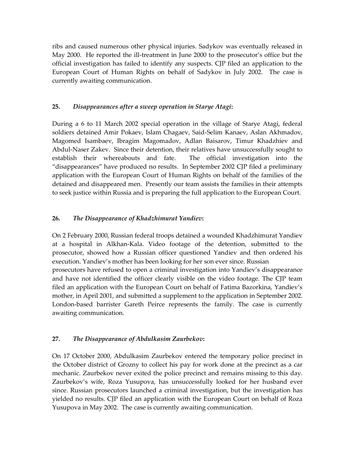ribs and caused numerous other physical injuries. Sadykov was eventually released in May 2000. He reported the ill-treatment in June 2000 to the prosecutor's office but the official investigation has failed to identify any suspects. CJP filed an application to the European Court of Human Rights on behalf of Sadykov in July 2002. The case is currently awaiting communication.

## **25.** *Disappearances after a sweep operation in Starye Atagi***:**

During a 6 to 11 March 2002 special operation in the village of Starye Atagi, federal soldiers detained Amir Pokaev, Islam Chagaev, Said-Selim Kanaev, Aslan Akhmadov, Magomed Isambaev, Ibragim Magomadov, Adlan Baisarov, Timur Khadzhiev and Abdul-Naser Zakev. Since their detention, their relatives have unsuccessfully sought to establish their whereabouts and fate. The official investigation into the "disappearances" have produced no results. In September 2002 CJP filed a preliminary application with the European Court of Human Rights on behalf of the families of the detained and disappeared men. Presently our team assists the families in their attempts to seek justice within Russia and is preparing the full application to the European Court.

# **26.** *The Disappearance of Khadzhimurat Yandiev***:**

On 2 February 2000, Russian federal troops detained a wounded Khadzhimurat Yandiev at a hospital in Alkhan-Kala. Video footage of the detention, submitted to the prosecutor, showed how a Russian officer questioned Yandiev and then ordered his execution. Yandiev's mother has been looking for her son ever since. Russian prosecutors have refused to open a criminal investigation into Yandiev's disappearance and have not identified the officer clearly visible on the video footage. The CJP team filed an application with the European Court on behalf of Fatima Bazorkina, Yandiev's mother, in April 2001, and submitted a supplement to the application in September 2002. London-based barrister Gareth Peirce represents the family. The case is currently awaiting communication.

## **27.** *The Disappearance of Abdulkasim Zaurbekov***:**

On 17 October 2000, Abdulkasim Zaurbekov entered the temporary police precinct in the October district of Grozny to collect his pay for work done at the precinct as a car mechanic. Zaurbekov never exited the police precinct and remains missing to this day. Zaurbekov's wife, Roza Yusupova, has unsuccessfully looked for her husband ever since. Russian prosecutors launched a criminal investigation, but the investigation has yielded no results. CJP filed an application with the European Court on behalf of Roza Yusupova in May 2002. The case is currently awaiting communication.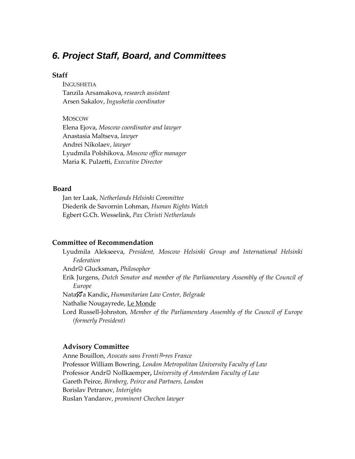# *6. Project Staff, Board, and Committees*

### **Staff**

**INGUSHETIA** Tanzila Arsamakova, *research assistant* Arsen Sakalov, *Ingushetia coordinator*

**MOSCOW** Elena Ejova, *Moscow coordinator and lawyer* Anastasia Maltseva, *lawyer* Andrei Nikolaev, *lawyer* Lyudmila Polshikova, *Moscow office manager* Maria K. Pulzetti, *Executive Director*

## **Board**

Jan ter Laak, *Netherlands Helsinki Committee* Diederik de Savornin Lohman, *Human Rights Watch* Egbert G.Ch. Wesselink, *Pax Christi Netherlands*

### **Committee of Recommendation**

Lyudmila Alekseeva, *President, Moscow Helsinki Group and International Helsinki Federation* Andr Glucksman**,** *Philosopher* Erik Jurgens, *Dutch Senator and member of the Parliamentary Assembly of the Council of Europe* Nataa Kandic**,** *Humanitarian Law Center, Belgrade* Nathalie Nougayrede, Le Monde Lord Russell-Johnston, *Member of the Parliamentary Assembly of the Council of Europe (formerly President)*

#### **Advisory Committee**

Anne Bouillon, *Avocats sans Frontires France* Professor William Bowring, *London Metropolitan University Faculty of Law* Professor Andr© Nollkaemper, *University of Amsterdam Faculty of Law* Gareth Peirce, *Birnberg, Peirce and Partners, London* Borislav Petranov, *Interights* Ruslan Yandarov, *prominent Chechen lawyer*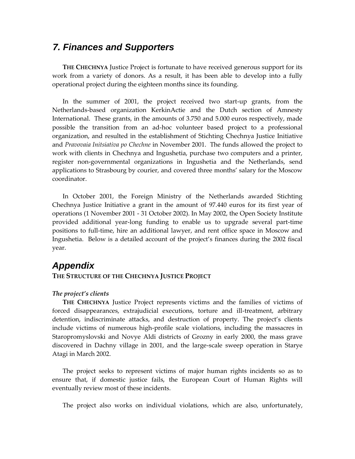# *7. Finances and Supporters*

**THE CHECHNYA** Justice Project is fortunate to have received generous support for its work from a variety of donors. As a result, it has been able to develop into a fully operational project during the eighteen months since its founding.

In the summer of 2001, the project received two start-up grants, from the Netherlands-based organization KerkinActie and the Dutch section of Amnesty International. These grants, in the amounts of 3.750 and 5.000 euros respectively, made possible the transition from an ad-hoc volunteer based project to a professional organization, and resulted in the establishment of Stichting Chechnya Justice Initiative and *Pravovaia Initsiativa po Chechne* in November 2001. The funds allowed the project to work with clients in Chechnya and Ingushetia, purchase two computers and a printer, register non-governmental organizations in Ingushetia and the Netherlands, send applications to Strasbourg by courier, and covered three months' salary for the Moscow coordinator.

In October 2001, the Foreign Ministry of the Netherlands awarded Stichting Chechnya Justice Initiative a grant in the amount of 97.440 euros for its first year of operations (1 November 2001 - 31 October 2002). In May 2002, the Open Society Institute provided additional year-long funding to enable us to upgrade several part-time positions to full-time, hire an additional lawyer, and rent office space in Moscow and Ingushetia. Below is a detailed account of the project's finances during the 2002 fiscal year.

# *Appendix*

### **THE STRUCTURE OF THE CHECHNYA JUSTICE PROJECT**

## *The project's clients*

**THE CHECHNYA** Justice Project represents victims and the families of victims of forced disappearances, extrajudicial executions, torture and ill-treatment, arbitrary detention, indiscriminate attacks, and destruction of property. The project's clients include victims of numerous high-profile scale violations, including the massacres in Staropromyslovski and Novye Aldi districts of Grozny in early 2000, the mass grave discovered in Dachny village in 2001, and the large-scale sweep operation in Starye Atagi in March 2002.

The project seeks to represent victims of major human rights incidents so as to ensure that, if domestic justice fails, the European Court of Human Rights will eventually review most of these incidents.

The project also works on individual violations, which are also, unfortunately,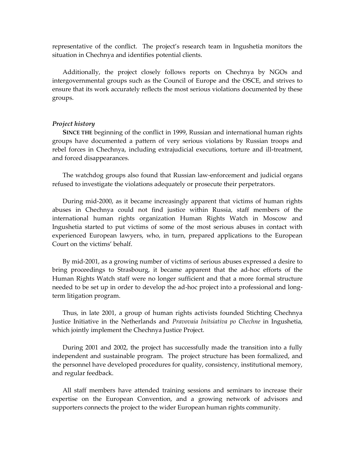representative of the conflict. The project's research team in Ingushetia monitors the situation in Chechnya and identifies potential clients.

Additionally, the project closely follows reports on Chechnya by NGOs and intergovernmental groups such as the Council of Europe and the OSCE, and strives to ensure that its work accurately reflects the most serious violations documented by these groups.

#### *Project history*

**SINCE THE** beginning of the conflict in 1999, Russian and international human rights groups have documented a pattern of very serious violations by Russian troops and rebel forces in Chechnya, including extrajudicial executions, torture and ill-treatment, and forced disappearances.

The watchdog groups also found that Russian law-enforcement and judicial organs refused to investigate the violations adequately or prosecute their perpetrators.

During mid-2000, as it became increasingly apparent that victims of human rights abuses in Chechnya could not find justice within Russia, staff members of the international human rights organization Human Rights Watch in Moscow and Ingushetia started to put victims of some of the most serious abuses in contact with experienced European lawyers, who, in turn, prepared applications to the European Court on the victims' behalf.

By mid-2001, as a growing number of victims of serious abuses expressed a desire to bring proceedings to Strasbourg, it became apparent that the ad-hoc efforts of the Human Rights Watch staff were no longer sufficient and that a more formal structure needed to be set up in order to develop the ad-hoc project into a professional and longterm litigation program.

Thus, in late 2001, a group of human rights activists founded Stichting Chechnya Justice Initiative in the Netherlands and *Pravovaia Initsiativa po Chechne* in Ingushetia, which jointly implement the Chechnya Justice Project.

During 2001 and 2002, the project has successfully made the transition into a fully independent and sustainable program. The project structure has been formalized, and the personnel have developed procedures for quality, consistency, institutional memory, and regular feedback.

All staff members have attended training sessions and seminars to increase their expertise on the European Convention, and a growing network of advisors and supporters connects the project to the wider European human rights community.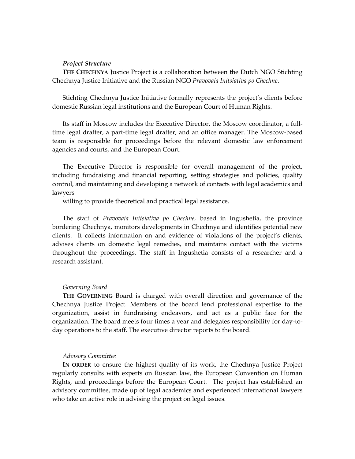#### *Project Structure*

**THE CHECHNYA** Justice Project is a collaboration between the Dutch NGO Stichting Chechnya Justice Initiative and the Russian NGO *Pravovaia Initsiativa po Chechne*.

Stichting Chechnya Justice Initiative formally represents the project's clients before domestic Russian legal institutions and the European Court of Human Rights.

Its staff in Moscow includes the Executive Director, the Moscow coordinator, a fulltime legal drafter, a part-time legal drafter, and an office manager. The Moscow-based team is responsible for proceedings before the relevant domestic law enforcement agencies and courts, and the European Court.

The Executive Director is responsible for overall management of the project, including fundraising and financial reporting, setting strategies and policies, quality control, and maintaining and developing a network of contacts with legal academics and lawyers

willing to provide theoretical and practical legal assistance.

The staff of *Pravovaia Initsiativa po Chechne,* based in Ingushetia, the province bordering Chechnya, monitors developments in Chechnya and identifies potential new clients. It collects information on and evidence of violations of the project's clients, advises clients on domestic legal remedies, and maintains contact with the victims throughout the proceedings. The staff in Ingushetia consists of a researcher and a research assistant.

#### *Governing Board*

**THE GOVERNING** Board is charged with overall direction and governance of the Chechnya Justice Project. Members of the board lend professional expertise to the organization, assist in fundraising endeavors, and act as a public face for the organization. The board meets four times a year and delegates responsibility for day-today operations to the staff. The executive director reports to the board.

#### *Advisory Committee*

**IN ORDER** to ensure the highest quality of its work, the Chechnya Justice Project regularly consults with experts on Russian law, the European Convention on Human Rights, and proceedings before the European Court. The project has established an advisory committee, made up of legal academics and experienced international lawyers who take an active role in advising the project on legal issues.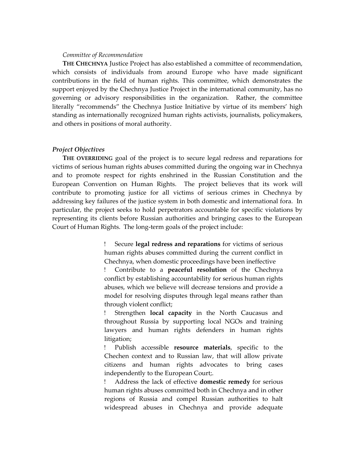#### *Committee of Recommendation*

**THE CHECHNYA** Justice Project has also established a committee of recommendation, which consists of individuals from around Europe who have made significant contributions in the field of human rights. This committee, which demonstrates the support enjoyed by the Chechnya Justice Project in the international community, has no governing or advisory responsibilities in the organization. Rather, the committee literally "recommends" the Chechnya Justice Initiative by virtue of its members' high standing as internationally recognized human rights activists, journalists, policymakers, and others in positions of moral authority.

#### *Project Objectives*

**THE OVERRIDING** goal of the project is to secure legal redress and reparations for victims of serious human rights abuses committed during the ongoing war in Chechnya and to promote respect for rights enshrined in the Russian Constitution and the European Convention on Human Rights. The project believes that its work will contribute to promoting justice for all victims of serious crimes in Chechnya by addressing key failures of the justice system in both domestic and international fora. In particular, the project seeks to hold perpetrators accountable for specific violations by representing its clients before Russian authorities and bringing cases to the European Court of Human Rights. The long-term goals of the project include:

> Secure **legal redress and reparations** for victims of serious human rights abuses committed during the current conflict in Chechnya, when domestic proceedings have been ineffective

> Contribute to a **peaceful resolution** of the Chechnya conflict by establishing accountability for serious human rights abuses, which we believe will decrease tensions and provide a model for resolving disputes through legal means rather than through violent conflict;

> Strengthen **local capacity** in the North Caucasus and throughout Russia by supporting local NGOs and training lawyers and human rights defenders in human rights litigation;

> Publish accessible **resource materials**, specific to the Chechen context and to Russian law, that will allow private citizens and human rights advocates to bring cases independently to the European Court;.

> Address the lack of effective **domestic remedy** for serious human rights abuses committed both in Chechnya and in other regions of Russia and compel Russian authorities to halt widespread abuses in Chechnya and provide adequate